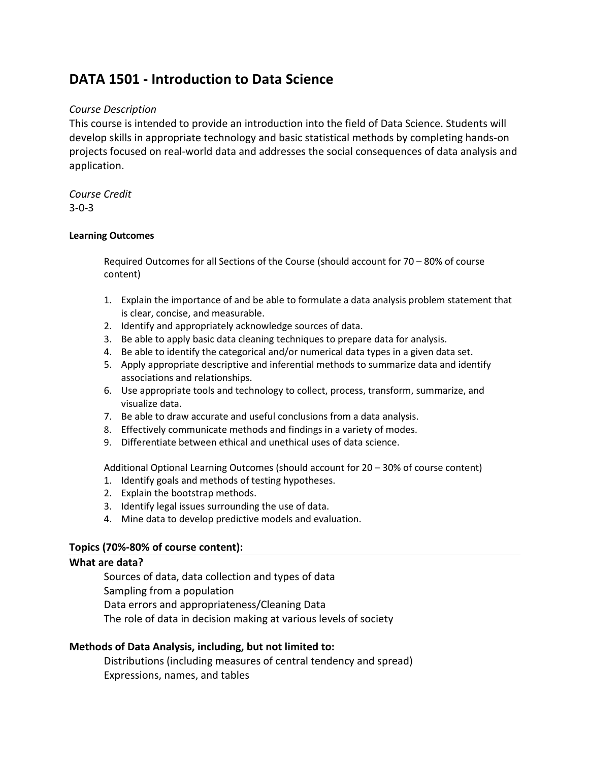# **DATA 1501 - Introduction to Data Science**

# *Course Description*

This course is intended to provide an introduction into the field of Data Science. Students will develop skills in appropriate technology and basic statistical methods by completing hands-on projects focused on real-world data and addresses the social consequences of data analysis and application.

*Course Credit* 3-0-3

#### **Learning Outcomes**

Required Outcomes for all Sections of the Course (should account for 70 – 80% of course content)

- 1. Explain the importance of and be able to formulate a data analysis problem statement that is clear, concise, and measurable.
- 2. Identify and appropriately acknowledge sources of data.
- 3. Be able to apply basic data cleaning techniques to prepare data for analysis.
- 4. Be able to identify the categorical and/or numerical data types in a given data set.
- 5. Apply appropriate descriptive and inferential methods to summarize data and identify associations and relationships.
- 6. Use appropriate tools and technology to collect, process, transform, summarize, and visualize data.
- 7. Be able to draw accurate and useful conclusions from a data analysis.
- 8. Effectively communicate methods and findings in a variety of modes.
- 9. Differentiate between ethical and unethical uses of data science.

Additional Optional Learning Outcomes (should account for 20 – 30% of course content)

- 1. Identify goals and methods of testing hypotheses.
- 2. Explain the bootstrap methods.
- 3. Identify legal issues surrounding the use of data.
- 4. Mine data to develop predictive models and evaluation.

## **Topics (70%-80% of course content):**

#### **What are data?**

Sources of data, data collection and types of data Sampling from a population Data errors and appropriateness/Cleaning Data The role of data in decision making at various levels of society

## **Methods of Data Analysis, including, but not limited to:**

Distributions (including measures of central tendency and spread) Expressions, names, and tables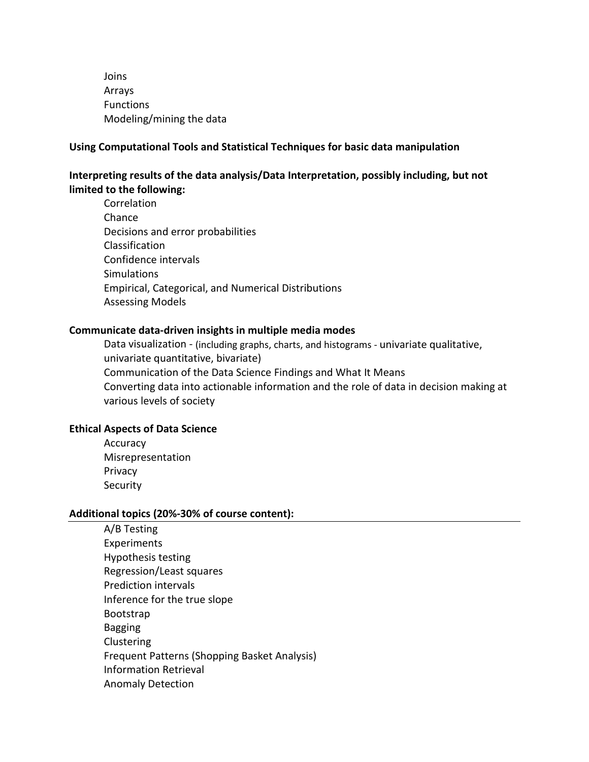Joins Arrays Functions Modeling/mining the data

#### **Using Computational Tools and Statistical Techniques for basic data manipulation**

# **Interpreting results of the data analysis/Data Interpretation, possibly including, but not limited to the following:**

**Correlation** Chance Decisions and error probabilities Classification Confidence intervals **Simulations** Empirical, Categorical, and Numerical Distributions Assessing Models

#### **Communicate data-driven insights in multiple media modes**

Data visualization - (including graphs, charts, and histograms - univariate qualitative, univariate quantitative, bivariate) Communication of the Data Science Findings and What It Means Converting data into actionable information and the role of data in decision making at various levels of society

#### **Ethical Aspects of Data Science**

Accuracy Misrepresentation Privacy **Security** 

#### **Additional topics (20%-30% of course content):**

A/B Testing Experiments Hypothesis testing Regression/Least squares Prediction intervals Inference for the true slope Bootstrap Bagging Clustering Frequent Patterns (Shopping Basket Analysis) Information Retrieval Anomaly Detection